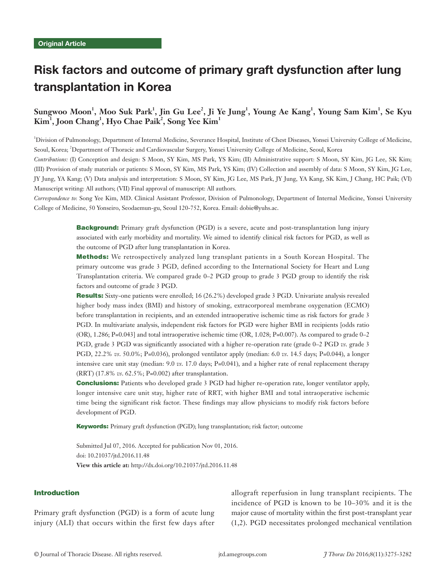# Risk factors and outcome of primary graft dysfunction after lung transplantation in Korea

# **Sungwoo Moon<sup>1</sup> , Moo Suk Park<sup>1</sup> , Jin Gu Lee<sup>2</sup> , Ji Ye Jung<sup>1</sup> , Young Ae Kang<sup>1</sup> , Young Sam Kim<sup>1</sup> , Se Kyu**   $\mathbf{Kim}^1, \mathbf{Joon Chang}^1, \mathbf{Hyo Chae Paik}^2, \mathbf{Song Yee Kim}^1$

<sup>1</sup>Division of Pulmonology, Department of Internal Medicine, Severance Hospital, Institute of Chest Diseases, Yonsei University College of Medicine, Seoul, Korea; <sup>2</sup>Department of Thoracic and Cardiovascular Surgery, Yonsei University College of Medicine, Seoul, Korea

*Contributions:* (I) Conception and design: S Moon, SY Kim, MS Park, YS Kim; (II) Administrative support: S Moon, SY Kim, JG Lee, SK Kim; (III) Provision of study materials or patients: S Moon, SY Kim, MS Park, YS Kim; (IV) Collection and assembly of data: S Moon, SY Kim, JG Lee, JY Jung, YA Kang; (V) Data analysis and interpretation: S Moon, SY Kim, JG Lee, MS Park, JY Jung, YA Kang, SK Kim, J Chang, HC Paik; (VI) Manuscript writing: All authors; (VII) Final approval of manuscript: All authors.

*Correspondence to*: Song Yee Kim, MD. Clinical Assistant Professor, Division of Pulmonology, Department of Internal Medicine, Yonsei University College of Medicine, 50 Yonseiro, Seodaemun-gu, Seoul 120-752, Korea. Email: dobie@yuhs.ac.

> **Background:** Primary graft dysfunction (PGD) is a severe, acute and post-transplantation lung injury associated with early morbidity and mortality. We aimed to identify clinical risk factors for PGD, as well as the outcome of PGD after lung transplantation in Korea.

> Methods: We retrospectively analyzed lung transplant patients in a South Korean Hospital. The primary outcome was grade 3 PGD, defined according to the International Society for Heart and Lung Transplantation criteria. We compared grade 0–2 PGD group to grade 3 PGD group to identify the risk factors and outcome of grade 3 PGD.

> Results: Sixty-one patients were enrolled; 16 (26.2%) developed grade 3 PGD. Univariate analysis revealed higher body mass index (BMI) and history of smoking, extracorporeal membrane oxygenation (ECMO) before transplantation in recipients, and an extended intraoperative ischemic time as risk factors for grade 3 PGD. In multivariate analysis, independent risk factors for PGD were higher BMI in recipients [odds ratio (OR), 1.286; P=0.043] and total intraoperative ischemic time (OR, 1.028; P=0.007). As compared to grade 0–2 PGD, grade 3 PGD was significantly associated with a higher re-operation rate (grade 0–2 PGD *vs*. grade 3 PGD, 22.2% *vs*. 50.0%; P=0.036), prolonged ventilator apply (median: 6.0 *vs*. 14.5 days; P=0.044), a longer intensive care unit stay (median: 9.0 *vs*. 17.0 days; P=0.041), and a higher rate of renal replacement therapy (RRT) (17.8% *vs*. 62.5%; P=0.002) after transplantation.

> Conclusions: Patients who developed grade 3 PGD had higher re-operation rate, longer ventilator apply, longer intensive care unit stay, higher rate of RRT, with higher BMI and total intraoperative ischemic time being the significant risk factor. These findings may allow physicians to modify risk factors before development of PGD.

Keywords: Primary graft dysfunction (PGD); lung transplantation; risk factor; outcome

Submitted Jul 07, 2016. Accepted for publication Nov 01, 2016. doi: 10.21037/jtd.2016.11.48 **View this article at:** http://dx.doi.org/10.21037/jtd.2016.11.48

#### Introduction

Primary graft dysfunction (PGD) is a form of acute lung injury (ALI) that occurs within the first few days after allograft reperfusion in lung transplant recipients. The incidence of PGD is known to be 10–30% and it is the major cause of mortality within the first post-transplant year (1,2). PGD necessitates prolonged mechanical ventilation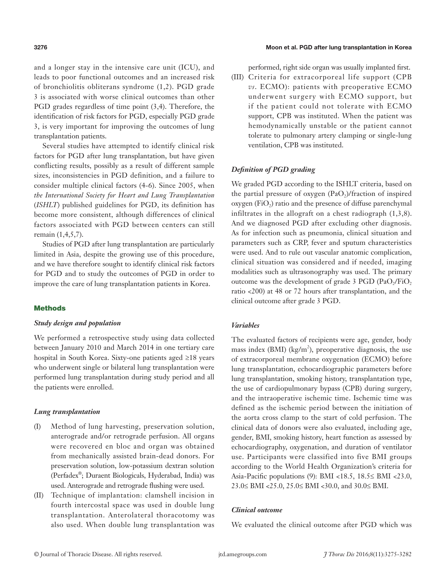and a longer stay in the intensive care unit (ICU), and leads to poor functional outcomes and an increased risk of bronchiolitis obliterans syndrome (1,2). PGD grade 3 is associated with worse clinical outcomes than other PGD grades regardless of time point (3,4). Therefore, the identification of risk factors for PGD, especially PGD grade 3, is very important for improving the outcomes of lung transplantation patients.

Several studies have attempted to identify clinical risk factors for PGD after lung transplantation, but have given conflicting results, possibly as a result of different sample sizes, inconsistencies in PGD definition, and a failure to consider multiple clinical factors (4-6). Since 2005, when *the International Society for Heart and Lung Transplantation* (*ISHLT*) published guidelines for PGD, its definition has become more consistent, although differences of clinical factors associated with PGD between centers can still remain (1,4,5,7).

Studies of PGD after lung transplantation are particularly limited in Asia, despite the growing use of this procedure, and we have therefore sought to identify clinical risk factors for PGD and to study the outcomes of PGD in order to improve the care of lung transplantation patients in Korea.

# **Methods**

# *Study design and population*

We performed a retrospective study using data collected between January 2010 and March 2014 in one tertiary care hospital in South Korea. Sixty-one patients aged ≥18 years who underwent single or bilateral lung transplantation were performed lung transplantation during study period and all the patients were enrolled.

# *Lung transplantation*

- (I) Method of lung harvesting, preservation solution, anterograde and/or retrograde perfusion. All organs were recovered en bloc and organ was obtained from mechanically assisted brain-dead donors. For preservation solution, low-potassium dextran solution (Perfadex® ; Duraent Biologicals, Hyderabad, India) was used. Anterograde and retrograde flushing were used.
- (II) Technique of implantation: clamshell incision in fourth intercostal space was used in double lung transplantation. Anterolateral thoracotomy was also used. When double lung transplantation was

### 3276 Moon et al. PGD after lung transplantation in Korea

performed, right side organ was usually implanted first.

(III) Criteria for extracorporeal life support (CPB *vs*. ECMO): patients with preoperative ECMO underwent surgery with ECMO support, but if the patient could not tolerate with ECMO support, CPB was instituted. When the patient was hemodynamically unstable or the patient cannot tolerate to pulmonary artery clamping or single-lung ventilation, CPB was instituted.

# *Definition of PGD grading*

We graded PGD according to the ISHLT criteria, based on the partial pressure of oxygen  $(PaO_2)/$ fraction of inspired  $oxygen (FiO<sub>2</sub>)$  ratio and the presence of diffuse parenchymal infiltrates in the allograft on a chest radiograph (1,3,8). And we diagnosed PGD after excluding other diagnosis. As for infection such as pneumonia, clinical situation and parameters such as CRP, fever and sputum characteristics were used. And to rule out vascular anatomic complication, clinical situation was considered and if needed, imaging modalities such as ultrasonography was used. The primary outcome was the development of grade 3 PGD  $(PaO_2/FiO_2)$ ratio <200) at 48 or 72 hours after transplantation, and the clinical outcome after grade 3 PGD.

# *Variables*

The evaluated factors of recipients were age, gender, body mass index (BMI) ( $\text{kg/m}^2$ ), preoperative diagnosis, the use of extracorporeal membrane oxygenation (ECMO) before lung transplantation, echocardiographic parameters before lung transplantation, smoking history, transplantation type, the use of cardiopulmonary bypass (CPB) during surgery, and the intraoperative ischemic time. Ischemic time was defined as the ischemic period between the initiation of the aorta cross clamp to the start of cold perfusion. The clinical data of donors were also evaluated, including age, gender, BMI, smoking history, heart function as assessed by echocardiography, oxygenation, and duration of ventilator use. Participants were classified into five BMI groups according to the World Health Organization's criteria for Asia-Pacific populations (9): BMI <18.5, 18.5≤ BMI <23.0, 23.0≤ BMI <25.0, 25.0≤ BMI <30.0, and 30.0≤ BMI.

# *Clinical outcome*

We evaluated the clinical outcome after PGD which was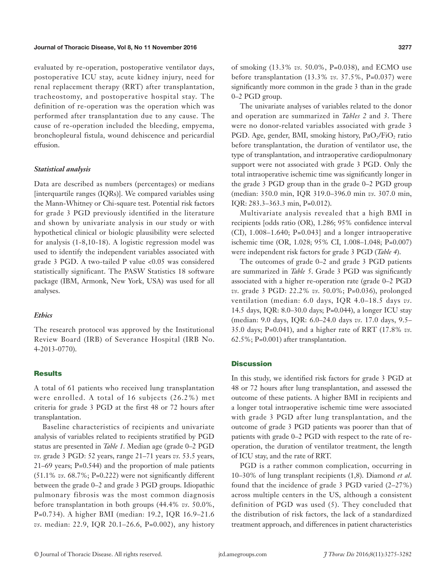evaluated by re-operation, postoperative ventilator days, postoperative ICU stay, acute kidney injury, need for renal replacement therapy (RRT) after transplantation, tracheostomy, and postoperative hospital stay. The definition of re-operation was the operation which was performed after transplantation due to any cause. The cause of re-operation included the bleeding, empyema, bronchopleural fistula, wound dehiscence and pericardial effusion.

#### *Statistical analysis*

Data are described as numbers (percentages) or medians [interquartile ranges (IQRs)]. We compared variables using the Mann-Whitney or Chi-square test. Potential risk factors for grade 3 PGD previously identified in the literature and shown by univariate analysis in our study or with hypothetical clinical or biologic plausibility were selected for analysis (1-8,10-18). A logistic regression model was used to identify the independent variables associated with grade 3 PGD. A two-tailed P value <0.05 was considered statistically significant. The PASW Statistics 18 software package (IBM, Armonk, New York, USA) was used for all analyses.

#### *Ethics*

The research protocol was approved by the Institutional Review Board (IRB) of Severance Hospital (IRB No. 4-2013-0770).

#### **Results**

A total of 61 patients who received lung transplantation were enrolled. A total of 16 subjects (26.2%) met criteria for grade 3 PGD at the first 48 or 72 hours after transplantation.

Baseline characteristics of recipients and univariate analysis of variables related to recipients stratified by PGD status are presented in *Table 1.* Median age (grade 0–2 PGD *vs*. grade 3 PGD: 52 years, range 21–71 years *vs*. 53.5 years, 21–69 years; P=0.544) and the proportion of male patients (51.1% *vs*. 68.7%; P=0.222) were not significantly different between the grade 0–2 and grade 3 PGD groups. Idiopathic pulmonary fibrosis was the most common diagnosis before transplantation in both groups (44.4% *vs*. 50.0%, P=0.734). A higher BMI (median: 19.2, IQR 16.9–21.6 *vs*. median: 22.9, IQR 20.1–26.6, P=0.002), any history of smoking (13.3% *vs*. 50.0%, P=0.038), and ECMO use before transplantation (13.3% *vs*. 37.5%, P=0.037) were significantly more common in the grade 3 than in the grade 0–2 PGD group.

The univariate analyses of variables related to the donor and operation are summarized in *Tables 2* and *3*. There were no donor-related variables associated with grade 3 PGD. Age, gender, BMI, smoking history, PaO<sub>2</sub>/FiO<sub>2</sub> ratio before transplantation, the duration of ventilator use, the type of transplantation, and intraoperative cardiopulmonary support were not associated with grade 3 PGD. Only the total intraoperative ischemic time was significantly longer in the grade 3 PGD group than in the grade 0–2 PGD group (median: 350.0 min, IQR 319.0–396.0 min *vs*. 307.0 min, IQR: 283.3–363.3 min, P=0.012).

Multivariate analysis revealed that a high BMI in recipients [odds ratio (OR), 1.286; 95% confidence interval  $(CI)$ , 1.008–1.640; P=0.043] and a longer intraoperative ischemic time (OR, 1.028; 95% CI, 1.008–1.048; P=0.007) were independent risk factors for grade 3 PGD (*Table 4*).

The outcomes of grade 0–2 and grade 3 PGD patients are summarized in *Table 5*. Grade 3 PGD was significantly associated with a higher re-operation rate (grade 0–2 PGD *vs*. grade 3 PGD: 22.2% *vs*. 50.0%; P=0.036), prolonged ventilation (median: 6.0 days, IQR 4.0–18.5 days *vs*. 14.5 days, IQR: 8.0–30.0 days; P=0.044), a longer ICU stay (median: 9.0 days, IQR: 6.0–24.0 days *vs*. 17.0 days, 9.5– 35.0 days; P=0.041), and a higher rate of RRT (17.8% *vs*. 62.5%; P=0.001) after transplantation.

#### **Discussion**

In this study, we identified risk factors for grade 3 PGD at 48 or 72 hours after lung transplantation, and assessed the outcome of these patients. A higher BMI in recipients and a longer total intraoperative ischemic time were associated with grade 3 PGD after lung transplantation, and the outcome of grade 3 PGD patients was poorer than that of patients with grade 0–2 PGD with respect to the rate of reoperation, the duration of ventilator treatment, the length of ICU stay, and the rate of RRT.

PGD is a rather common complication, occurring in 10–30% of lung transplant recipients (1,8). Diamond *et al*. found that the incidence of grade 3 PGD varied (2–27%) across multiple centers in the US, although a consistent definition of PGD was used (5). They concluded that the distribution of risk factors, the lack of a standardized treatment approach, and differences in patient characteristics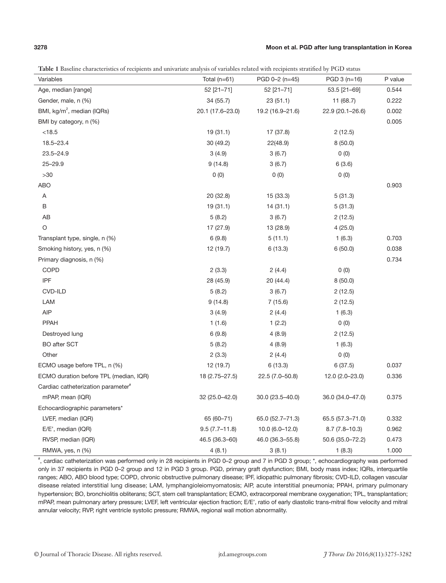# 3278 Moon et al. PGD after lung transplantation in Korea

**Table 1** Baseline characteristics of recipients and univariate analysis of variables related with recipients stratified by PGD status

| Variables                              | Total $(n=61)$   | PGD 0-2 (n=45)   | PGD 3 (n=16)      | P value |
|----------------------------------------|------------------|------------------|-------------------|---------|
| Age, median [range]                    | 52 [21-71]       | 52 [21-71]       | 53.5 [21-69]      | 0.544   |
| Gender, male, n (%)                    | 34 (55.7)        | 23(51.1)         | 11 (68.7)         | 0.222   |
| BMI, kg/m <sup>2</sup> , median (IQRs) | 20.1 (17.6-23.0) | 19.2 (16.9-21.6) | 22.9 (20.1-26.6)  | 0.002   |
| BMI by category, n (%)                 |                  |                  |                   | 0.005   |
| < 18.5                                 | 19 (31.1)        | 17 (37.8)        | 2(12.5)           |         |
| 18.5-23.4                              | 30 (49.2)        | 22(48.9)         | 8(50.0)           |         |
| $23.5 - 24.9$                          | 3(4.9)           | 3(6.7)           | 0(0)              |         |
| $25 - 29.9$                            | 9(14.8)          | 3(6.7)           | 6(3.6)            |         |
| >30                                    | 0(0)             | 0(0)             | 0(0)              |         |
| <b>ABO</b>                             |                  |                  |                   | 0.903   |
| Α                                      | 20 (32.8)        | 15(33.3)         | 5(31.3)           |         |
| B                                      | 19(31.1)         | 14(31.1)         | 5(31.3)           |         |
| AB                                     | 5(8.2)           | 3(6.7)           | 2(12.5)           |         |
| O                                      | 17 (27.9)        | 13 (28.9)        | 4(25.0)           |         |
| Transplant type, single, n (%)         | 6(9.8)           | 5(11.1)          | 1(6.3)            | 0.703   |
| Smoking history, yes, n (%)            | 12 (19.7)        | 6(13.3)          | 6(50.0)           | 0.038   |
| Primary diagnosis, n (%)               |                  |                  |                   | 0.734   |
| COPD                                   | 2(3.3)           | 2(4.4)           | 0(0)              |         |
| <b>IPF</b>                             | 28 (45.9)        | 20 (44.4)        | 8(50.0)           |         |
| CVD-ILD                                | 5(8.2)           | 3(6.7)           | 2(12.5)           |         |
| LAM                                    | 9(14.8)          | 7(15.6)          | 2(12.5)           |         |
| AIP                                    | 3(4.9)           | 2(4.4)           | 1(6.3)            |         |
| <b>PPAH</b>                            | 1(1.6)           | 1(2.2)           | 0(0)              |         |
| Destroyed lung                         | 6(9.8)           | 4(8.9)           | 2(12.5)           |         |
| BO after SCT                           | 5(8.2)           | 4(8.9)           | 1(6.3)            |         |
| Other                                  | 2(3.3)           | 2(4.4)           | 0(0)              |         |
| ECMO usage before TPL, n (%)           | 12 (19.7)        | 6(13.3)          | 6(37.5)           | 0.037   |
| ECMO duration before TPL (median, IQR) | 18 (2.75 - 27.5) | 22.5 (7.0-50.8)  | 12.0 (2.0-23.0)   | 0.336   |
| Cardiac catheterization parameter"     |                  |                  |                   |         |
| mPAP, mean (IQR)                       | 32 (25.0-42.0)   | 30.0 (23.5-40.0) | 36.0 (34.0-47.0)  | 0.375   |
| Echocardiographic parameters*          |                  |                  |                   |         |
| LVEF, median (IQR)                     | 65 (60-71)       | 65.0 (52.7–71.3) | 65.5 (57.3–71.0)  | 0.332   |
| $E/E'$ , median (IQR)                  | $9.5(7.7-11.8)$  | $10.0(6.0-12.0)$ | $8.7(7.8 - 10.3)$ | 0.962   |
| RVSP, median (IQR)                     | 46.5 (36.3-60)   | 46.0 (36.3-55.8) | 50.6 (35.0-72.2)  | 0.473   |
| RMWA, yes, n (%)                       | 4(8.1)           | 3(8.1)           | 1(8.3)            | 1.000   |

# , cardiac catheterization was performed only in 28 recipients in PGD 0–2 group and 7 in PGD 3 group; \*, echocardiography was performed only in 37 recipients in PGD 0–2 group and 12 in PGD 3 group. PGD, primary graft dysfunction; BMI, body mass index; IQRs, interquartile ranges; ABO, ABO blood type; COPD, chronic obstructive pulmonary disease; IPF, idiopathic pulmonary fibrosis; CVD-ILD, collagen vascular disease related interstitial lung disease; LAM, lymphangioleiomyomatosis; AIP, acute interstitial pneumonia; PPAH, primary pulmonary hypertension; BO, bronchiolitis obliterans; SCT, stem cell transplantation; ECMO, extracorporeal membrane oxygenation; TPL, transplantation; mPAP, mean pulmonary artery pressure; LVEF, left ventricular ejection fraction; E/E', ratio of early diastolic trans-mitral flow velocity and mitral annular velocity; RVP, right ventricle systolic pressure; RMWA, regional wall motion abnormality.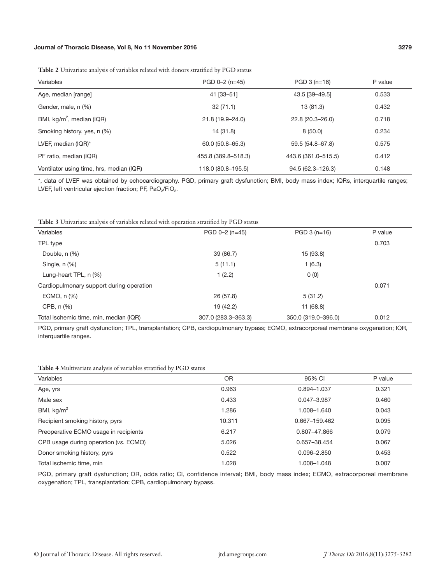### Journal of Thoracic Disease, Vol 8, No 11 November 2016 3279

| Variables                                | PGD 0-2 (n=45)      | $PGD 3 (n=16)$      | P value |
|------------------------------------------|---------------------|---------------------|---------|
| Age, median [range]                      | 41 [33-51]          | 43.5 [39-49.5]      | 0.533   |
| Gender, male, n (%)                      | 32(71.1)            | 13(81.3)            | 0.432   |
| BMI, $kg/m^2$ , median (IQR)             | 21.8 (19.9-24.0)    | 22.8 (20.3-26.0)    | 0.718   |
| Smoking history, yes, n (%)              | 14 (31.8)           | 8(50.0)             | 0.234   |
| LVEF, median $(IQR)^*$                   | $60.0(50.8 - 65.3)$ | 59.5 (54.8-67.8)    | 0.575   |
| PF ratio, median (IQR)                   | 455.8 (389.8-518.3) | 443.6 (361.0-515.5) | 0.412   |
| Ventilator using time, hrs, median (IQR) | 118.0 (80.8-195.5)  | 94.5 (62.3–126.3)   | 0.148   |

\*, data of LVEF was obtained by echocardiography. PGD, primary graft dysfunction; BMI, body mass index; IQRs, interquartile ranges; LVEF, left ventricular ejection fraction; PF,  $PaO<sub>2</sub>/FiO<sub>2</sub>$ .

**Table 3** Univariate analysis of variables related with operation stratified by PGD status

| Variables                                | PGD 0-2 (n=45)      | $PGD 3 (n=16)$      | P value |
|------------------------------------------|---------------------|---------------------|---------|
| TPL type                                 |                     |                     | 0.703   |
| Double, n (%)                            | 39 (86.7)           | 15 (93.8)           |         |
| Single, $n$ $(\%)$                       | 5(11.1)             | 1(6.3)              |         |
| Lung-heart TPL, n (%)                    | 1(2.2)              | 0(0)                |         |
| Cardiopulmonary support during operation |                     |                     | 0.071   |
| ECMO, n (%)                              | 26 (57.8)           | 5(31.2)             |         |
| CPB, n (%)                               | 19 (42.2)           | 11(68.8)            |         |
| Total ischemic time, min, median (IQR)   | 307.0 (283.3-363.3) | 350.0 (319.0-396.0) | 0.012   |

PGD, primary graft dysfunction; TPL, transplantation; CPB, cardiopulmonary bypass; ECMO, extracorporeal membrane oxygenation; IQR, interquartile ranges.

**Table 4** Multivariate analysis of variables stratified by PGD status

| Variables                             | <b>OR</b> | 95% CI          | P value |
|---------------------------------------|-----------|-----------------|---------|
| Age, yrs                              | 0.963     | 0.894-1.037     | 0.321   |
| Male sex                              | 0.433     | 0.047-3.987     | 0.460   |
| BMI, $kg/m2$                          | 1.286     | 1.008-1.640     | 0.043   |
| Recipient smoking history, pyrs       | 10.311    | 0.667-159.462   | 0.095   |
| Preoperative ECMO usage in recipients | 6.217     | 0.807-47.866    | 0.079   |
| CPB usage during operation (vs. ECMO) | 5.026     | 0.657-38.454    | 0.067   |
| Donor smoking history, pyrs           | 0.522     | $0.096 - 2.850$ | 0.453   |
| Total ischemic time, min              | 1.028     | 1.008-1.048     | 0.007   |

PGD, primary graft dysfunction; OR, odds ratio; CI, confidence interval; BMI, body mass index; ECMO, extracorporeal membrane oxygenation; TPL, transplantation; CPB, cardiopulmonary bypass.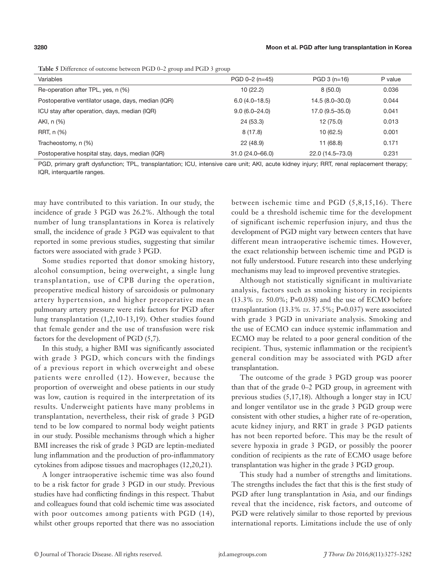| $\overline{\phantom{a}}$<br>$\overline{\phantom{a}}$ |                     |                  |         |  |
|------------------------------------------------------|---------------------|------------------|---------|--|
| Variables                                            | PGD 0-2 (n=45)      | $PGD 3 (n=16)$   | P value |  |
| Re-operation after TPL, yes, n (%)                   | 10(22.2)            | 8(50.0)          | 0.036   |  |
| Postoperative ventilator usage, days, median (IQR)   | $6.0(4.0-18.5)$     | 14.5 (8.0-30.0)  | 0.044   |  |
| ICU stay after operation, days, median (IQR)         | $9.0(6.0 - 24.0)$   | 17.0 (9.5-35.0)  | 0.041   |  |
| AKI, n (%)                                           | 24 (53.3)           | 12(75.0)         | 0.013   |  |
| RRT, n (%)                                           | 8(17.8)             | 10(62.5)         | 0.001   |  |
| Tracheostomy, n (%)                                  | 22(48.9)            | 11(68.8)         | 0.171   |  |
| Postoperative hospital stay, days, median (IQR)      | $31.0(24.0 - 66.0)$ | 22.0 (14.5-73.0) | 0.231   |  |

PGD, primary graft dysfunction; TPL, transplantation; ICU, intensive care unit; AKI, acute kidney injury; RRT, renal replacement therapy; IQR, interquartile ranges.

may have contributed to this variation. In our study, the incidence of grade 3 PGD was 26.2%. Although the total number of lung transplantations in Korea is relatively small, the incidence of grade 3 PGD was equivalent to that reported in some previous studies, suggesting that similar factors were associated with grade 3 PGD.

Some studies reported that donor smoking history, alcohol consumption, being overweight, a single lung transplantation, use of CPB during the operation, preoperative medical history of sarcoidosis or pulmonary artery hypertension, and higher preoperative mean pulmonary artery pressure were risk factors for PGD after lung transplantation (1,2,10-13,19). Other studies found that female gender and the use of transfusion were risk factors for the development of PGD (5,7).

In this study, a higher BMI was significantly associated with grade 3 PGD, which concurs with the findings of a previous report in which overweight and obese patients were enrolled (12). However, because the proportion of overweight and obese patients in our study was low, caution is required in the interpretation of its results. Underweight patients have many problems in transplantation, nevertheless, their risk of grade 3 PGD tend to be low compared to normal body weight patients in our study. Possible mechanisms through which a higher BMI increases the risk of grade 3 PGD are leptin-mediated lung inflammation and the production of pro-inflammatory cytokines from adipose tissues and macrophages (12,20,21).

A longer intraoperative ischemic time was also found to be a risk factor for grade 3 PGD in our study. Previous studies have had conflicting findings in this respect. Thabut and colleagues found that cold ischemic time was associated with poor outcomes among patients with PGD (14), whilst other groups reported that there was no association

between ischemic time and PGD (5,8,15,16). There could be a threshold ischemic time for the development of significant ischemic reperfusion injury, and thus the development of PGD might vary between centers that have different mean intraoperative ischemic times. However, the exact relationship between ischemic time and PGD is not fully understood. Future research into these underlying mechanisms may lead to improved preventive strategies.

Although not statistically significant in multivariate analysis, factors such as smoking history in recipients (13.3% *vs*. 50.0%; P=0.038) and the use of ECMO before transplantation (13.3% *vs*. 37.5%; P=0.037) were associated with grade 3 PGD in univariate analysis. Smoking and the use of ECMO can induce systemic inflammation and ECMO may be related to a poor general condition of the recipient. Thus, systemic inflammation or the recipient's general condition may be associated with PGD after transplantation.

The outcome of the grade 3 PGD group was poorer than that of the grade 0–2 PGD group, in agreement with previous studies (5,17,18). Although a longer stay in ICU and longer ventilator use in the grade 3 PGD group were consistent with other studies, a higher rate of re-operation, acute kidney injury, and RRT in grade 3 PGD patients has not been reported before. This may be the result of severe hypoxia in grade 3 PGD, or possibly the poorer condition of recipients as the rate of ECMO usage before transplantation was higher in the grade 3 PGD group.

This study had a number of strengths and limitations. The strengths includes the fact that this is the first study of PGD after lung transplantation in Asia, and our findings reveal that the incidence, risk factors, and outcome of PGD were relatively similar to those reported by previous international reports. Limitations include the use of only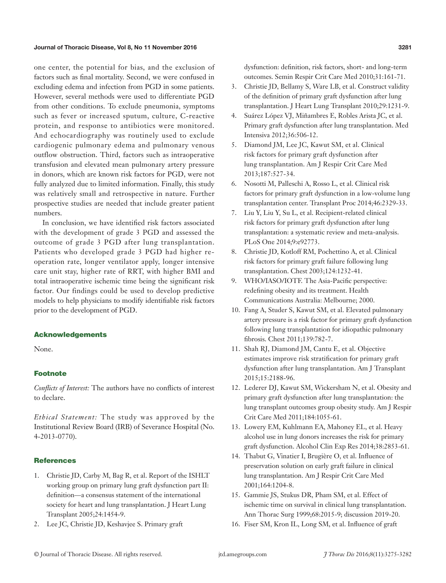#### Journal of Thoracic Disease, Vol 8, No 11 November 2016 3281 3281 3281 3281 3281

one center, the potential for bias, and the exclusion of factors such as final mortality. Second, we were confused in excluding edema and infection from PGD in some patients. However, several methods were used to differentiate PGD from other conditions. To exclude pneumonia, symptoms such as fever or increased sputum, culture, C-reactive protein, and response to antibiotics were monitored. And echocardiography was routinely used to exclude cardiogenic pulmonary edema and pulmonary venous outflow obstruction. Third, factors such as intraoperative transfusion and elevated mean pulmonary artery pressure in donors, which are known risk factors for PGD, were not fully analyzed due to limited information. Finally, this study was relatively small and retrospective in nature. Further prospective studies are needed that include greater patient numbers.

In conclusion, we have identified risk factors associated with the development of grade 3 PGD and assessed the outcome of grade 3 PGD after lung transplantation. Patients who developed grade 3 PGD had higher reoperation rate, longer ventilator apply, longer intensive care unit stay, higher rate of RRT, with higher BMI and total intraoperative ischemic time being the significant risk factor. Our findings could be used to develop predictive models to help physicians to modify identifiable risk factors prior to the development of PGD.

#### Acknowledgements

None.

#### Footnote

*Conflicts of Interest:* The authors have no conflicts of interest to declare.

*Ethical Statement:* The study was approved by the Institutional Review Board (IRB) of Severance Hospital (No. 4-2013-0770).

### **References**

- 1. Christie JD, Carby M, Bag R, et al. Report of the ISHLT working group on primary lung graft dysfunction part II: definition—a consensus statement of the international society for heart and lung transplantation. J Heart Lung Transplant 2005;24:1454-9.
- 2. Lee JC, Christie JD, Keshavjee S. Primary graft

dysfunction: definition, risk factors, short- and long-term outcomes. Semin Respir Crit Care Med 2010;31:161-71.

- 3. Christie JD, Bellamy S, Ware LB, et al. Construct validity of the definition of primary graft dysfunction after lung transplantation. J Heart Lung Transplant 2010;29:1231-9.
- 4. Suárez López VJ, Miñambres E, Robles Arista JC, et al. Primary graft dysfunction after lung transplantation. Med Intensiva 2012;36:506-12.
- 5. Diamond JM, Lee JC, Kawut SM, et al. Clinical risk factors for primary graft dysfunction after lung transplantation. Am J Respir Crit Care Med 2013;187:527-34.
- 6. Nosotti M, Palleschi A, Rosso L, et al. Clinical risk factors for primary graft dysfunction in a low-volume lung transplantation center. Transplant Proc 2014;46:2329-33.
- 7. Liu Y, Liu Y, Su L, et al. Recipient-related clinical risk factors for primary graft dysfunction after lung transplantation: a systematic review and meta-analysis. PLoS One 2014;9:e92773.
- 8. Christie JD, Kotloff RM, Pochettino A, et al. Clinical risk factors for primary graft failure following lung transplantation. Chest 2003;124:1232-41.
- 9. WHO/IASO/IOTF. The Asia-Pacific perspective: redefining obesity and its treatment. Health Communications Australia: Melbourne; 2000.
- 10. Fang A, Studer S, Kawut SM, et al. Elevated pulmonary artery pressure is a risk factor for primary graft dysfunction following lung transplantation for idiopathic pulmonary fibrosis. Chest 2011;139:782-7.
- 11. Shah RJ, Diamond JM, Cantu E, et al. Objective estimates improve risk stratification for primary graft dysfunction after lung transplantation. Am J Transplant 2015;15:2188-96.
- 12. Lederer DJ, Kawut SM, Wickersham N, et al. Obesity and primary graft dysfunction after lung transplantation: the lung transplant outcomes group obesity study. Am J Respir Crit Care Med 2011;184:1055-61.
- 13. Lowery EM, Kuhlmann EA, Mahoney EL, et al. Heavy alcohol use in lung donors increases the risk for primary graft dysfunction. Alcohol Clin Exp Res 2014;38:2853-61.
- 14. Thabut G, Vinatier I, Brugière O, et al. Influence of preservation solution on early graft failure in clinical lung transplantation. Am J Respir Crit Care Med 2001;164:1204-8.
- 15. Gammie JS, Stukus DR, Pham SM, et al. Effect of ischemic time on survival in clinical lung transplantation. Ann Thorac Surg 1999;68:2015-9; discussion 2019-20.
- 16. Fiser SM, Kron IL, Long SM, et al. Influence of graft